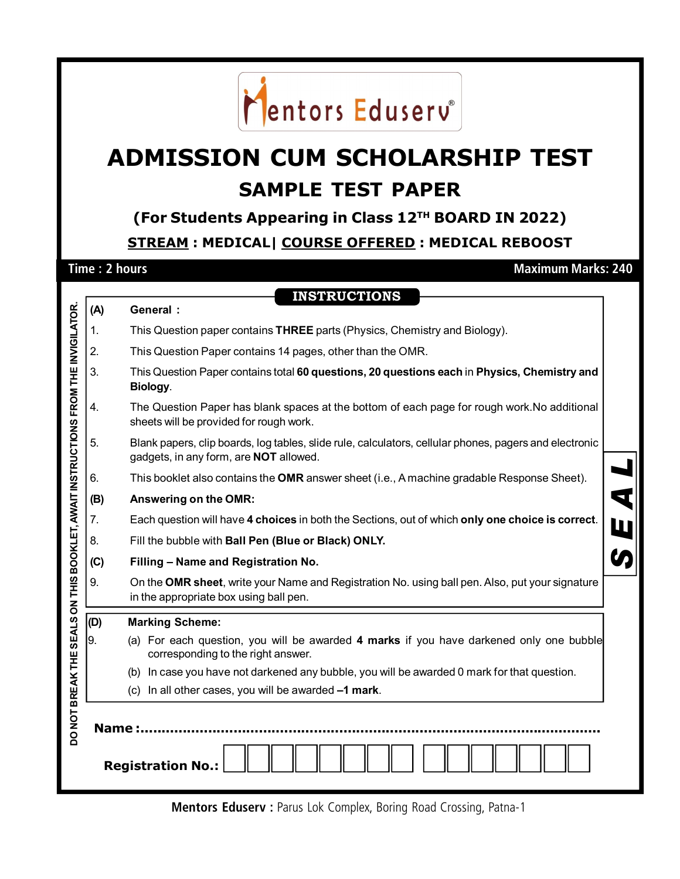## Mentors Eduserv<sup>®</sup>

## **ADMISSION CUM SCHOLARSHIP TEST SAMPLE TEST PAPER**

**(For Students Appearing in Class 12TH BOARD IN 2022) STREAM : MEDICAL| COURSE OFFERED : MEDICAL REBOOST**

**Time : 2 hours Maximum Marks: 240** 

|                                                                                                 |     | <b>INSTRUCTIONS</b>                                                                                                                                     |  |  |  |  |  |  |
|-------------------------------------------------------------------------------------------------|-----|---------------------------------------------------------------------------------------------------------------------------------------------------------|--|--|--|--|--|--|
|                                                                                                 | (A) | <b>General:</b>                                                                                                                                         |  |  |  |  |  |  |
|                                                                                                 | 1.  | This Question paper contains THREE parts (Physics, Chemistry and Biology).                                                                              |  |  |  |  |  |  |
|                                                                                                 | 2.  | This Question Paper contains 14 pages, other than the OMR.                                                                                              |  |  |  |  |  |  |
|                                                                                                 | 3.  | This Question Paper contains total 60 questions, 20 questions each in Physics, Chemistry and<br>Biology.                                                |  |  |  |  |  |  |
|                                                                                                 | 4.  | The Question Paper has blank spaces at the bottom of each page for rough work. No additional<br>sheets will be provided for rough work.                 |  |  |  |  |  |  |
|                                                                                                 | 5.  | Blank papers, clip boards, log tables, slide rule, calculators, cellular phones, pagers and electronic<br>gadgets, in any form, are <b>NOT</b> allowed. |  |  |  |  |  |  |
|                                                                                                 | 6.  | This booklet also contains the OMR answer sheet (i.e., A machine gradable Response Sheet).                                                              |  |  |  |  |  |  |
|                                                                                                 | (B) | Answering on the OMR:                                                                                                                                   |  |  |  |  |  |  |
|                                                                                                 | 7.  | Each question will have 4 choices in both the Sections, out of which only one choice is correct.                                                        |  |  |  |  |  |  |
|                                                                                                 | 8.  | Fill the bubble with Ball Pen (Blue or Black) ONLY.                                                                                                     |  |  |  |  |  |  |
|                                                                                                 | (C) | Filling - Name and Registration No.                                                                                                                     |  |  |  |  |  |  |
|                                                                                                 | 9.  | On the OMR sheet, write your Name and Registration No. using ball pen. Also, put your signature<br>in the appropriate box using ball pen.               |  |  |  |  |  |  |
|                                                                                                 | (D) | <b>Marking Scheme:</b>                                                                                                                                  |  |  |  |  |  |  |
|                                                                                                 | 9.  | (a) For each question, you will be awarded 4 marks if you have darkened only one bubble<br>corresponding to the right answer.                           |  |  |  |  |  |  |
|                                                                                                 |     | (b) In case you have not darkened any bubble, you will be awarded 0 mark for that question.                                                             |  |  |  |  |  |  |
|                                                                                                 |     | (c) In all other cases, you will be awarded -1 mark.                                                                                                    |  |  |  |  |  |  |
| DO NOT BREAK THE SEALS ON THIS BOOKLET, AWAIT INSTRUCTIONS FROM THE INVIGILATOR<br><b>Name:</b> |     |                                                                                                                                                         |  |  |  |  |  |  |
|                                                                                                 |     | <b>Registration No.:</b>                                                                                                                                |  |  |  |  |  |  |

**Mentors Eduserv :** Parus Lok Complex, Boring Road Crossing, Patna-1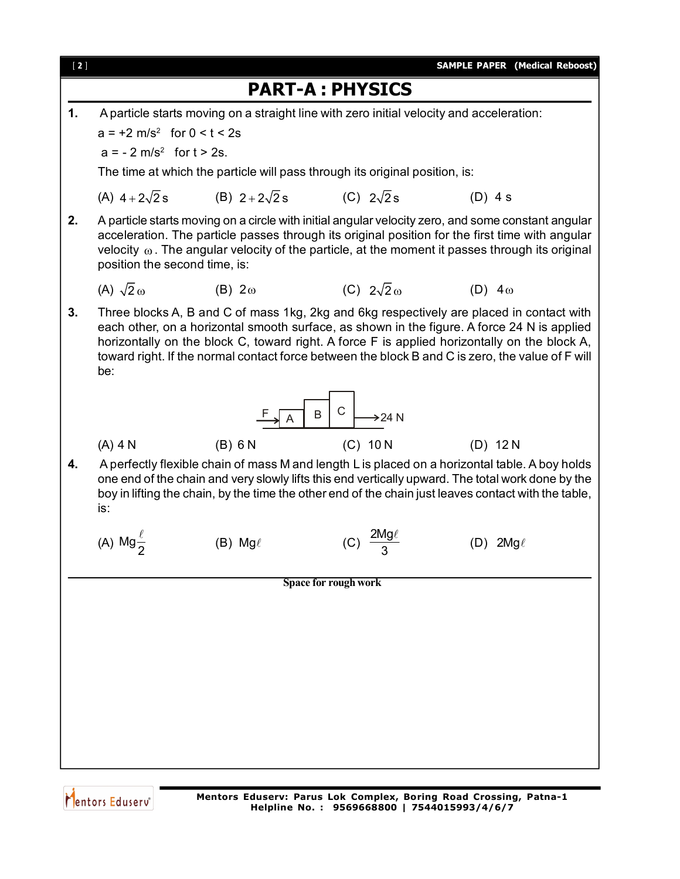

Mentors Eduserv<sup>®</sup>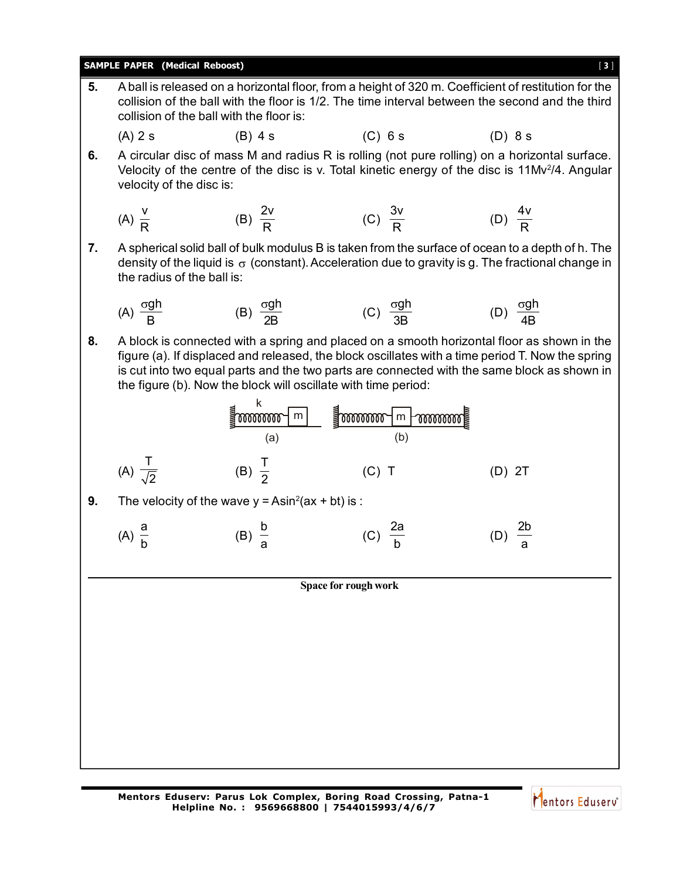|    | <b>SAMPLE PAPER (Medical Reboost)</b><br>[3]                                                                                                                                                                                                        |                                                                                                                                      |                                                                |                                                                                                                                                                                                                                                                                               |  |  |  |  |
|----|-----------------------------------------------------------------------------------------------------------------------------------------------------------------------------------------------------------------------------------------------------|--------------------------------------------------------------------------------------------------------------------------------------|----------------------------------------------------------------|-----------------------------------------------------------------------------------------------------------------------------------------------------------------------------------------------------------------------------------------------------------------------------------------------|--|--|--|--|
| 5. | A ball is released on a horizontal floor, from a height of 320 m. Coefficient of restitution for the<br>collision of the ball with the floor is 1/2. The time interval between the second and the third<br>collision of the ball with the floor is: |                                                                                                                                      |                                                                |                                                                                                                                                                                                                                                                                               |  |  |  |  |
|    | $(A)$ 2 s                                                                                                                                                                                                                                           | $(B)$ 4 s                                                                                                                            | $(C)$ 6 s                                                      | (D) 8s                                                                                                                                                                                                                                                                                        |  |  |  |  |
| 6. | velocity of the disc is:                                                                                                                                                                                                                            |                                                                                                                                      |                                                                | A circular disc of mass M and radius R is rolling (not pure rolling) on a horizontal surface.<br>Velocity of the centre of the disc is v. Total kinetic energy of the disc is 11Mv <sup>2</sup> /4. Angular                                                                                   |  |  |  |  |
|    | (A) $\frac{V}{R}$                                                                                                                                                                                                                                   | (B) $\frac{2v}{R}$                                                                                                                   | (C) $\frac{3v}{R}$                                             | (D) $\frac{4v}{R}$                                                                                                                                                                                                                                                                            |  |  |  |  |
| 7. | the radius of the ball is:                                                                                                                                                                                                                          |                                                                                                                                      |                                                                | A spherical solid ball of bulk modulus B is taken from the surface of ocean to a depth of h. The<br>density of the liquid is $\sigma$ (constant). Acceleration due to gravity is g. The fractional change in                                                                                  |  |  |  |  |
|    | (A) $\frac{\sigma g h}{R}$                                                                                                                                                                                                                          | (B) $\frac{\sigma g h}{2R}$                                                                                                          | (C) $\frac{\sigma g h}{3R}$                                    | (D) $\frac{\sigma g h}{4R}$                                                                                                                                                                                                                                                                   |  |  |  |  |
| 8. |                                                                                                                                                                                                                                                     |                                                                                                                                      | the figure (b). Now the block will oscillate with time period: | A block is connected with a spring and placed on a smooth horizontal floor as shown in the<br>figure (a). If displaced and released, the block oscillates with a time period T. Now the spring<br>is cut into two equal parts and the two parts are connected with the same block as shown in |  |  |  |  |
|    |                                                                                                                                                                                                                                                     | $\overline{\mathbb{I}}$ www.watcherence the set of $\overline{\mathbb{I}}$ www.watcherence the set of $\overline{\mathbb{I}}$<br>(a) | (b)                                                            |                                                                                                                                                                                                                                                                                               |  |  |  |  |
|    | (A) $\frac{T}{\sqrt{2}}$                                                                                                                                                                                                                            | (B) $\frac{1}{2}$                                                                                                                    | $(C)$ T                                                        | $(D)$ 2T                                                                                                                                                                                                                                                                                      |  |  |  |  |
| 9. |                                                                                                                                                                                                                                                     | The velocity of the wave $y = Asin2(ax + bt)$ is :                                                                                   |                                                                |                                                                                                                                                                                                                                                                                               |  |  |  |  |
|    | (A) $\frac{a}{b}$                                                                                                                                                                                                                                   | $(B) \frac{b}{a}$                                                                                                                    |                                                                |                                                                                                                                                                                                                                                                                               |  |  |  |  |
|    |                                                                                                                                                                                                                                                     |                                                                                                                                      | Space for rough work                                           |                                                                                                                                                                                                                                                                                               |  |  |  |  |
|    |                                                                                                                                                                                                                                                     |                                                                                                                                      |                                                                |                                                                                                                                                                                                                                                                                               |  |  |  |  |
|    |                                                                                                                                                                                                                                                     |                                                                                                                                      |                                                                |                                                                                                                                                                                                                                                                                               |  |  |  |  |
|    |                                                                                                                                                                                                                                                     |                                                                                                                                      |                                                                |                                                                                                                                                                                                                                                                                               |  |  |  |  |
|    |                                                                                                                                                                                                                                                     |                                                                                                                                      |                                                                |                                                                                                                                                                                                                                                                                               |  |  |  |  |
|    |                                                                                                                                                                                                                                                     |                                                                                                                                      |                                                                |                                                                                                                                                                                                                                                                                               |  |  |  |  |
|    |                                                                                                                                                                                                                                                     |                                                                                                                                      |                                                                |                                                                                                                                                                                                                                                                                               |  |  |  |  |
|    |                                                                                                                                                                                                                                                     |                                                                                                                                      |                                                                |                                                                                                                                                                                                                                                                                               |  |  |  |  |

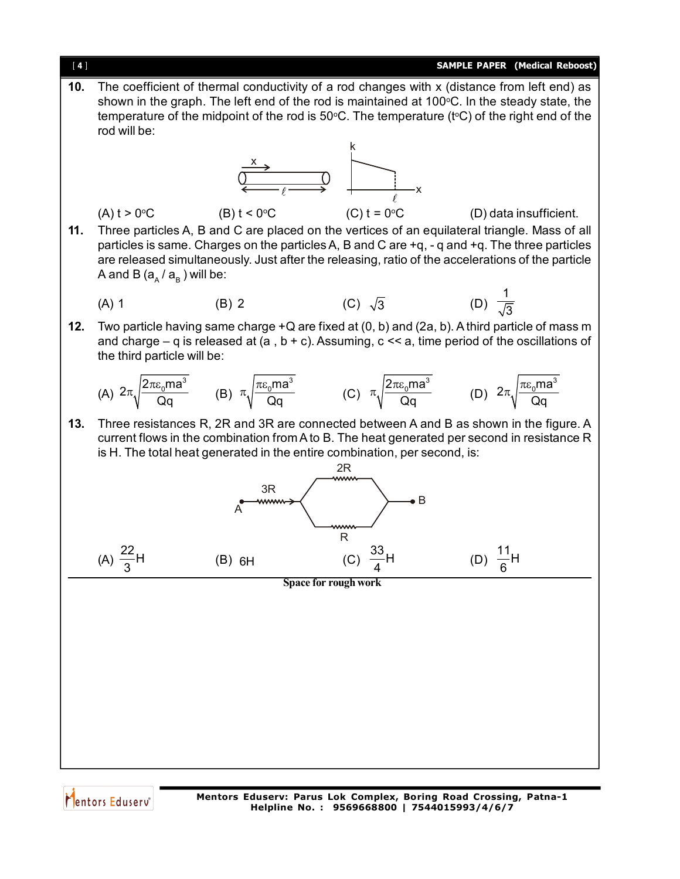

- **10.** The coefficient of thermal conductivity of a rod changes with x (distance from left end) as shown in the graph. The left end of the rod is maintained at  $100^{\circ}$ C. In the steady state, the temperature of the midpoint of the rod is  $50^{\circ}$ C. The temperature (t<sup>o</sup>C) of the right end of the rod will be: k  $\frac{1}{\sqrt{1-\epsilon}}$ x x (A)  $t > 0$ <sup>o</sup>C (B)  $t < 0$ <sup>o</sup>C (C)  $t = 0$ <sup>o</sup>C (D) data insufficient.
- **11.** Three particles A, B and C are placed on the vertices of an equilateral triangle. Mass of all particles is same. Charges on the particles A, B and C are +q, - q and +q. The three particles are released simultaneously. Just after the releasing, ratio of the accelerations of the particle A and B (a $_{\rm _A}$  / a $_{\rm _B}$  ) will be:

(A) 1 (B) 2 (C) 
$$
\sqrt{3}
$$
 (D)  $\frac{1}{\sqrt{3}}$ 

**12.** Two particle having same charge +Q are fixed at (0, b) and (2a, b). A third particle of mass m and charge – q is released at (a, b + c). Assuming,  $c \ll a$ , time period of the oscillations of the third particle will be:

(A) 
$$
2\pi \sqrt{\frac{2\pi \epsilon_0 m a^3}{\text{Qq}}}
$$
 (B)  $\pi \sqrt{\frac{\pi \epsilon_0 m a^3}{\text{Qq}}}$  (C)  $\pi \sqrt{\frac{2\pi \epsilon_0 m a^3}{\text{Qq}}}$  (D)  $2\pi \sqrt{\frac{\pi \epsilon_0 m a^3}{\text{Qq}}}$ 

**13.** Three resistances R, 2R and 3R are connected between A and B as shown in the figure. A current flows in the combination from A to B. The heat generated per second in resistance R is H. The total heat generated in the entire combination, per second, is:

**Space for rough work** R 2R  $\bullet$  B 3R A (A)  $\frac{22}{2}$ H 3 (B) 6H (C)  $\frac{33}{1}$ 4 (D)  $\frac{11}{6}$ H 6



**Mentors Eduserv: Parus Lok Complex, Boring Road Crossing, Patna-1 Helpline No. : 9569668800 | 7544015993/4/6/7**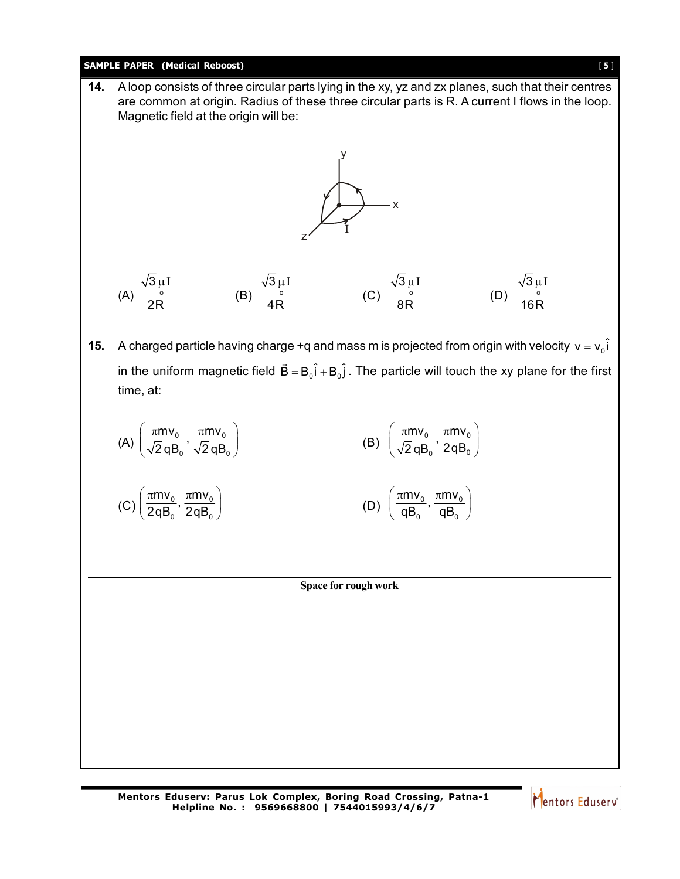## **SAMPLE PAPER (Medical Reboost)** [ **5** ]

**Space for rough work 14.** A loop consists of three circular parts lying in the xy, yz and zx planes, such that their centres are common at origin. Radius of these three circular parts is R. A current I flows in the loop. Magnetic field at the origin will be: I x z y  $(A) \frac{0}{2D}$ 3 2R  $\mu$  I  $(B) \frac{0}{10}$ 3 4R  $\mu$  I  $(C)$   $\frac{0}{2D}$ 3 8R μI  $(D)$   $\frac{0}{105}$ 3 16R μI **15.** A charged particle having charge +q and mass m is projected from origin with velocity  $v = v_0\hat{i}$ in the uniform magnetic field  $\vec{\mathsf{B}} = \mathsf{B}_\mathrm{o} \hat{\mathsf{i}} + \mathsf{B}_\mathrm{o} \hat{\mathsf{j}}$  . The particle will touch the xy plane for the first time, at: (A)  $\left(\frac{\pi W_0}{\sqrt{2}qB_0}, \frac{\pi W_0}{\sqrt{2}qB_0}\right)$  $\frac{mv_0}{\sqrt{m}}$ ,  $\frac{\pi mv}{\sqrt{m}}$ 2 q $\mathsf{B}^\vphantom{i}_0$   $\checkmark$  2 q $\mathsf{B}$  $\left(\frac{\pi m v_0}{\sqrt{2}}\right), \frac{\pi m v_0}{\sqrt{2}}$  $\left(\frac{\mu m v_0}{\sqrt{2}qB_0}, \frac{\mu m v_0}{\sqrt{2}qB_0}\right)$  (B)  $\left(\frac{\mu m v_0}{\sqrt{2}qB_0}, \frac{\mu m v_0}{2qB_0}\right)$  $\frac{mv_0}{\sqrt{m}}$ ,  $\frac{\pi mv}{\sqrt{m}}$ 2 qB $_{\rm o}$   $^{'}$  2qB  $\left(\frac{\pi m v_0}{\sqrt{2}}\right), \frac{\pi m v_0}{2 \pi R}\right)$  $(\sqrt{2}$ qB<sub>0</sub>  $2$ qD<sub>0</sub>) (C)  $\left(\frac{\text{miv}_0}{2qB_0}, \frac{\text{miv}_0}{2qB_0}\right)$  $\frac{mv_0}{2}$ ,  $\frac{\pi mv}{2}$  $2$ q $\mathsf{B}_\mathsf{0}$   $^{\prime}$  2qB  $\left(\frac{\pi m v_0}{2qB_0}, \frac{\pi m v_0}{2qB_0}\right)$  (D)  $\left(\frac{\pi m v_0}{qB_0}, \frac{\pi m v_0}{qB_0}\right)$  $\frac{mv_0}{2}$ ,  $\frac{\pi mv}{2}$  $\left(\frac{\pi m v_0}{\mathsf{qB}_{\mathrm{o}}},\frac{\pi m v_0}{\mathsf{qB}_{\mathrm{o}}}\right)$ 

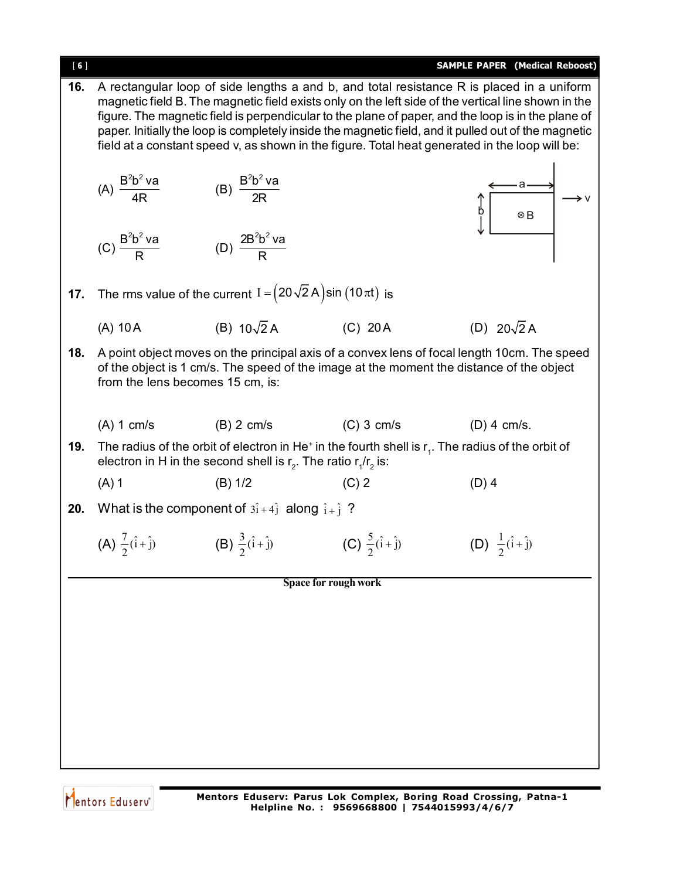| [6] |                                                                                                                                                                                                                                                                                                                                                                                                                                                                                                                  |                                                                            |                                    | <b>SAMPLE PAPER</b> (Medical Reboost)                                                                                                                                                   |  |  |  |  |
|-----|------------------------------------------------------------------------------------------------------------------------------------------------------------------------------------------------------------------------------------------------------------------------------------------------------------------------------------------------------------------------------------------------------------------------------------------------------------------------------------------------------------------|----------------------------------------------------------------------------|------------------------------------|-----------------------------------------------------------------------------------------------------------------------------------------------------------------------------------------|--|--|--|--|
| 16. | A rectangular loop of side lengths a and b, and total resistance R is placed in a uniform<br>magnetic field B. The magnetic field exists only on the left side of the vertical line shown in the<br>figure. The magnetic field is perpendicular to the plane of paper, and the loop is in the plane of<br>paper. Initially the loop is completely inside the magnetic field, and it pulled out of the magnetic<br>field at a constant speed v, as shown in the figure. Total heat generated in the loop will be: |                                                                            |                                    |                                                                                                                                                                                         |  |  |  |  |
|     | (A) $\frac{B^2b^2 \text{ va}}{4R}$                                                                                                                                                                                                                                                                                                                                                                                                                                                                               | (B) $\frac{B^2b^2 \text{ va}}{2R}$                                         |                                    | $\otimes$ B                                                                                                                                                                             |  |  |  |  |
|     | (C) $\frac{B^2b^2\vee a}{B}$                                                                                                                                                                                                                                                                                                                                                                                                                                                                                     | (D) $\frac{2B^2b^2\vee a}{B}$                                              |                                    |                                                                                                                                                                                         |  |  |  |  |
| 17. |                                                                                                                                                                                                                                                                                                                                                                                                                                                                                                                  | The rms value of the current $I = (20\sqrt{2} A) \sin (10 \pi t)$ is       |                                    |                                                                                                                                                                                         |  |  |  |  |
|     | $(A)$ 10 A                                                                                                                                                                                                                                                                                                                                                                                                                                                                                                       | (B) $10\sqrt{2}$ A                                                         | $(C)$ 20 A                         | (D) $20\sqrt{2}$ A                                                                                                                                                                      |  |  |  |  |
| 18. |                                                                                                                                                                                                                                                                                                                                                                                                                                                                                                                  | from the lens becomes 15 cm, is:                                           |                                    | A point object moves on the principal axis of a convex lens of focal length 10cm. The speed<br>of the object is 1 cm/s. The speed of the image at the moment the distance of the object |  |  |  |  |
|     | $(A)$ 1 cm/s                                                                                                                                                                                                                                                                                                                                                                                                                                                                                                     | $(B)$ 2 cm/s                                                               | $(C)$ 3 cm/s                       | $(D)$ 4 cm/s.                                                                                                                                                                           |  |  |  |  |
| 19. |                                                                                                                                                                                                                                                                                                                                                                                                                                                                                                                  | electron in H in the second shell is $r_2$ . The ratio $r_1/r_2$ is:       |                                    | The radius of the orbit of electron in He <sup><math>+</math></sup> in the fourth shell is $r1$ . The radius of the orbit of                                                            |  |  |  |  |
|     | $(A)$ 1                                                                                                                                                                                                                                                                                                                                                                                                                                                                                                          | (B) 1/2                                                                    | $(C)$ 2                            | $(D)$ 4                                                                                                                                                                                 |  |  |  |  |
| 20. |                                                                                                                                                                                                                                                                                                                                                                                                                                                                                                                  | What is the component of $3\hat{i} + 4\hat{j}$ along $\hat{i} + \hat{j}$ ? |                                    |                                                                                                                                                                                         |  |  |  |  |
|     | (A) $\frac{7}{2}(\hat{i} + \hat{j})$                                                                                                                                                                                                                                                                                                                                                                                                                                                                             | (B) $\frac{3}{2}(\hat{i} + \hat{j})$                                       | (C) $\frac{5}{2}(\hat{i}+\hat{j})$ | (D) $\frac{1}{2}(\hat{i} + \hat{j})$                                                                                                                                                    |  |  |  |  |
|     |                                                                                                                                                                                                                                                                                                                                                                                                                                                                                                                  |                                                                            | Space for rough work               |                                                                                                                                                                                         |  |  |  |  |
|     |                                                                                                                                                                                                                                                                                                                                                                                                                                                                                                                  |                                                                            |                                    |                                                                                                                                                                                         |  |  |  |  |
|     |                                                                                                                                                                                                                                                                                                                                                                                                                                                                                                                  |                                                                            |                                    |                                                                                                                                                                                         |  |  |  |  |
|     |                                                                                                                                                                                                                                                                                                                                                                                                                                                                                                                  |                                                                            |                                    |                                                                                                                                                                                         |  |  |  |  |
|     |                                                                                                                                                                                                                                                                                                                                                                                                                                                                                                                  |                                                                            |                                    |                                                                                                                                                                                         |  |  |  |  |
|     |                                                                                                                                                                                                                                                                                                                                                                                                                                                                                                                  |                                                                            |                                    |                                                                                                                                                                                         |  |  |  |  |
|     |                                                                                                                                                                                                                                                                                                                                                                                                                                                                                                                  |                                                                            |                                    |                                                                                                                                                                                         |  |  |  |  |
|     |                                                                                                                                                                                                                                                                                                                                                                                                                                                                                                                  |                                                                            |                                    |                                                                                                                                                                                         |  |  |  |  |

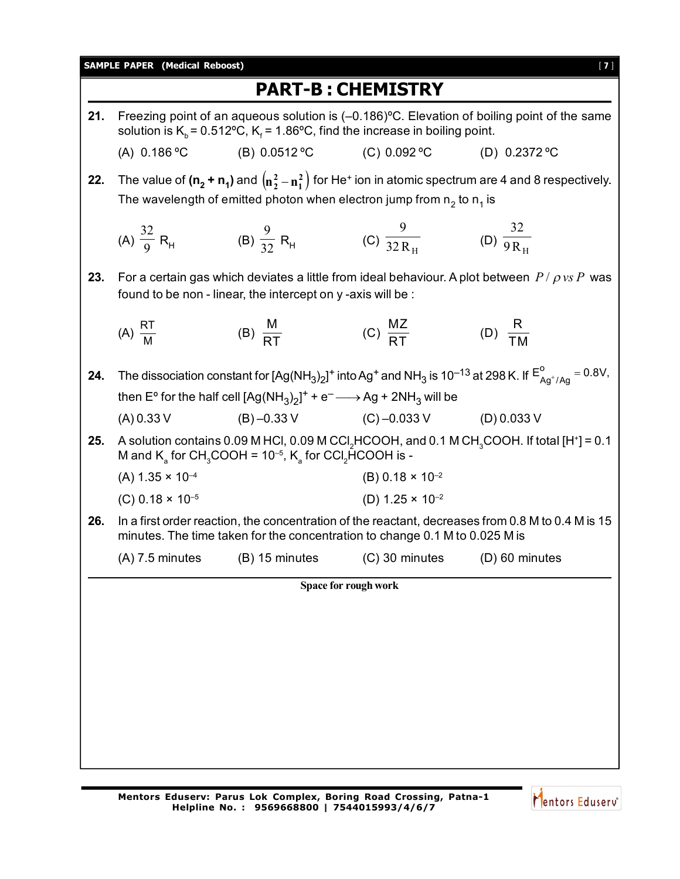|     |                                                                                                                                                                                                     |                                                                                                 | <b>PART-B: CHEMISTRY</b>                   |                                                                                                                                                    |  |  |  |  |
|-----|-----------------------------------------------------------------------------------------------------------------------------------------------------------------------------------------------------|-------------------------------------------------------------------------------------------------|--------------------------------------------|----------------------------------------------------------------------------------------------------------------------------------------------------|--|--|--|--|
| 21. | Freezing point of an aqueous solution is (-0.186) <sup>o</sup> C. Elevation of boiling point of the same<br>solution is $K_b$ = 0.512°C, $K_f$ = 1.86°C, find the increase in boiling point.        |                                                                                                 |                                            |                                                                                                                                                    |  |  |  |  |
|     | (A) $0.186$ °C                                                                                                                                                                                      | (B) $0.0512$ °C                                                                                 | (C) 0.092 °C                               | (D) $0.2372$ °C                                                                                                                                    |  |  |  |  |
| 22. | The value of $(n_2 + n_1)$ and $(n_2^2 - n_1^2)$ for He <sup>+</sup> ion in atomic spectrum are 4 and 8 respectively.<br>The wavelength of emitted photon when electron jump from $n_2$ to $n_1$ is |                                                                                                 |                                            |                                                                                                                                                    |  |  |  |  |
|     | (A) $\frac{32}{9}$ R <sub>H</sub>                                                                                                                                                                   | (B) $\frac{9}{32} R_{\text{H}}$ (C) $\frac{9}{32 R_{\text{H}}}$ (D) $\frac{32}{9 R_{\text{H}}}$ |                                            |                                                                                                                                                    |  |  |  |  |
| 23. |                                                                                                                                                                                                     | found to be non - linear, the intercept on y -axis will be :                                    |                                            | For a certain gas which deviates a little from ideal behaviour. A plot between $P / \rho v s P$ was                                                |  |  |  |  |
|     | (A) $\frac{RT}{M}$                                                                                                                                                                                  | (B) $\frac{M}{RT}$                                                                              | (C) $\frac{MZ}{RT}$                        | (D) $\frac{R}{TM}$                                                                                                                                 |  |  |  |  |
| 24. |                                                                                                                                                                                                     |                                                                                                 |                                            | The dissociation constant for $[Ag(NH_3)_2]^+$ into Ag <sup>+</sup> and NH <sub>3</sub> is 10 <sup>-13</sup> at 298 K. If $E^0_{Aa^+/Aa} = 0.8V$ , |  |  |  |  |
|     | then E° for the half cell $[Ag(NH_3)_2]^+$ + e <sup>-</sup> $\longrightarrow$ Ag + 2NH <sub>3</sub> will be                                                                                         |                                                                                                 |                                            |                                                                                                                                                    |  |  |  |  |
|     | (A) 0.33 V                                                                                                                                                                                          |                                                                                                 | $(B) -0.33$ V $(C) -0.033$ V $(D)$ 0.033 V |                                                                                                                                                    |  |  |  |  |
| 25. |                                                                                                                                                                                                     | M and $K_a$ for CH <sub>3</sub> COOH = 10 <sup>-5</sup> , $K_a$ for CCI <sub>2</sub> HCOOH is - |                                            | A solution contains 0.09 M HCl, 0.09 M CCl <sub>2</sub> HCOOH, and 0.1 M CH <sub>3</sub> COOH. If total [H <sup>+</sup> ] = 0.1                    |  |  |  |  |
|     | $(A)$ 1.35 $\times$ 10 <sup>-4</sup>                                                                                                                                                                |                                                                                                 | (B) $0.18 \times 10^{-2}$                  |                                                                                                                                                    |  |  |  |  |
|     | (C) $0.18 \times 10^{-5}$                                                                                                                                                                           |                                                                                                 | (D) $1.25 \times 10^{-2}$                  |                                                                                                                                                    |  |  |  |  |
| 26. | In a first order reaction, the concentration of the reactant, decreases from 0.8 M to 0.4 M is 15<br>minutes. The time taken for the concentration to change 0.1 M to 0.025 M is                    |                                                                                                 |                                            |                                                                                                                                                    |  |  |  |  |
|     |                                                                                                                                                                                                     | $(A)$ 7.5 minutes (B) 15 minutes (C) 30 minutes (D) 60 minutes                                  |                                            |                                                                                                                                                    |  |  |  |  |
|     | Space for rough work                                                                                                                                                                                |                                                                                                 |                                            |                                                                                                                                                    |  |  |  |  |
|     |                                                                                                                                                                                                     |                                                                                                 |                                            |                                                                                                                                                    |  |  |  |  |
|     |                                                                                                                                                                                                     |                                                                                                 |                                            |                                                                                                                                                    |  |  |  |  |
|     |                                                                                                                                                                                                     |                                                                                                 |                                            |                                                                                                                                                    |  |  |  |  |
|     |                                                                                                                                                                                                     |                                                                                                 |                                            |                                                                                                                                                    |  |  |  |  |
|     |                                                                                                                                                                                                     |                                                                                                 |                                            |                                                                                                                                                    |  |  |  |  |
|     |                                                                                                                                                                                                     |                                                                                                 |                                            |                                                                                                                                                    |  |  |  |  |
|     |                                                                                                                                                                                                     |                                                                                                 |                                            |                                                                                                                                                    |  |  |  |  |

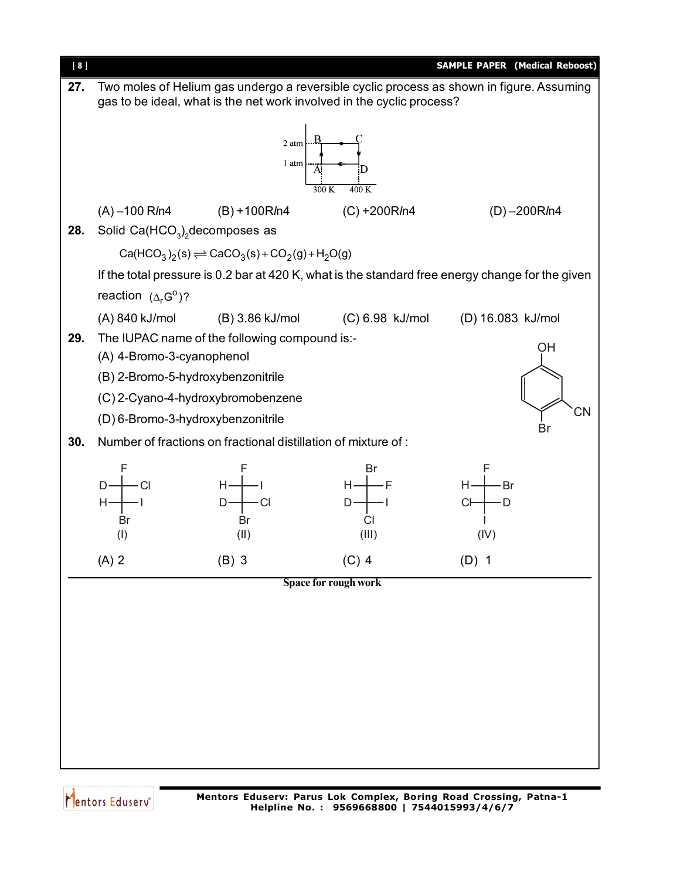

Mentors Eduserv<sup>®</sup>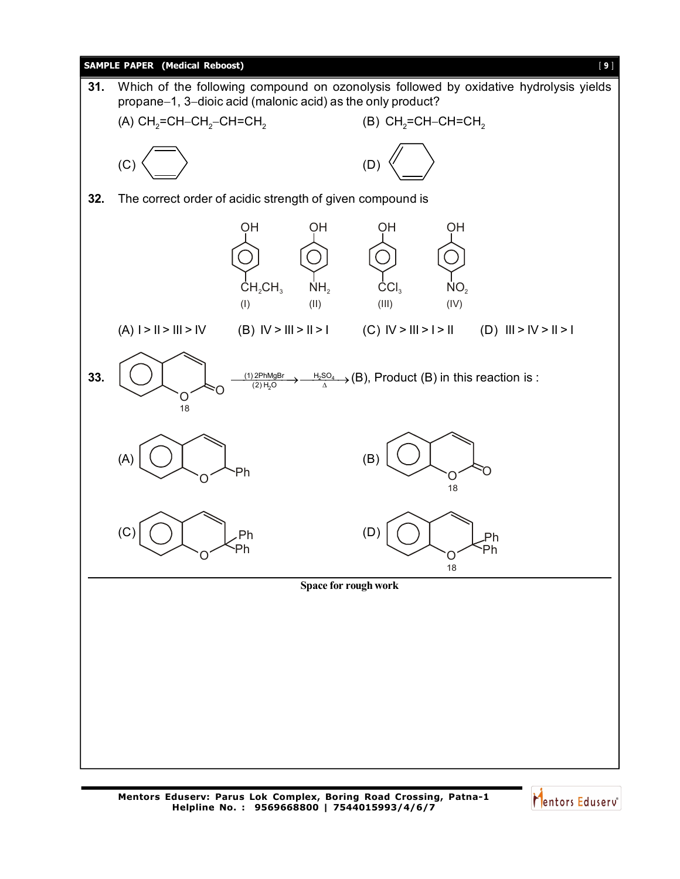

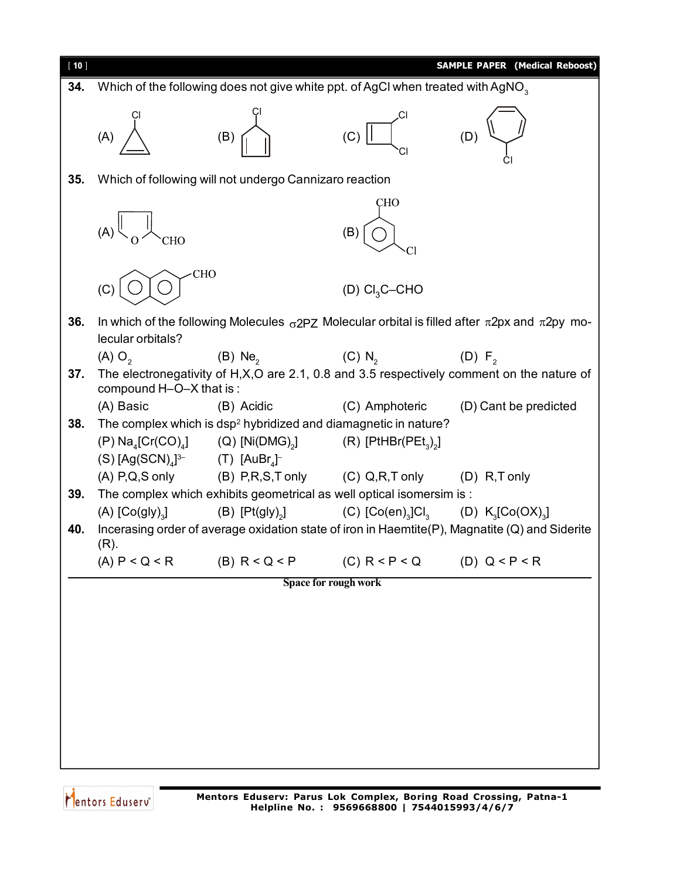

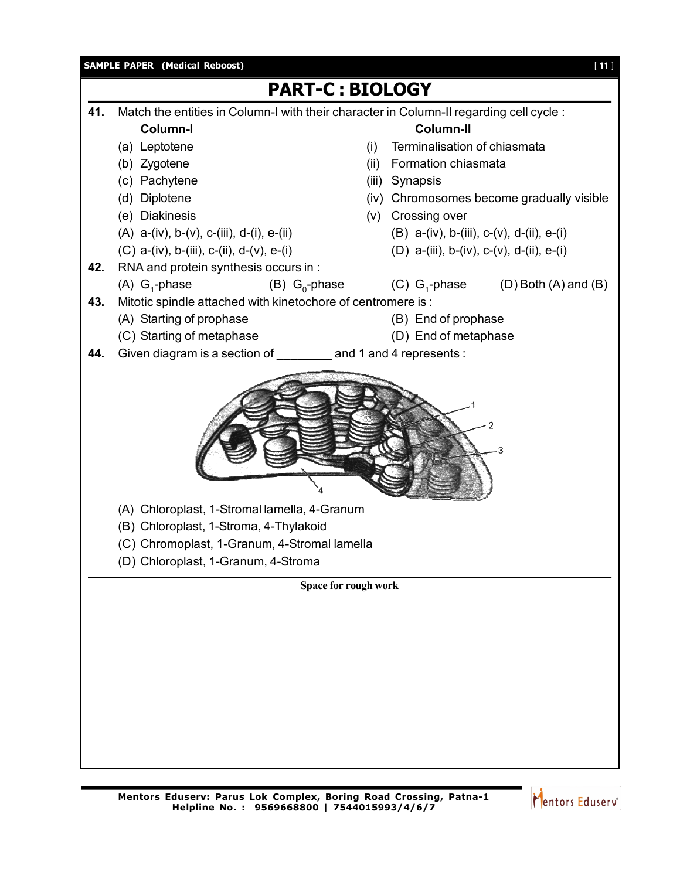

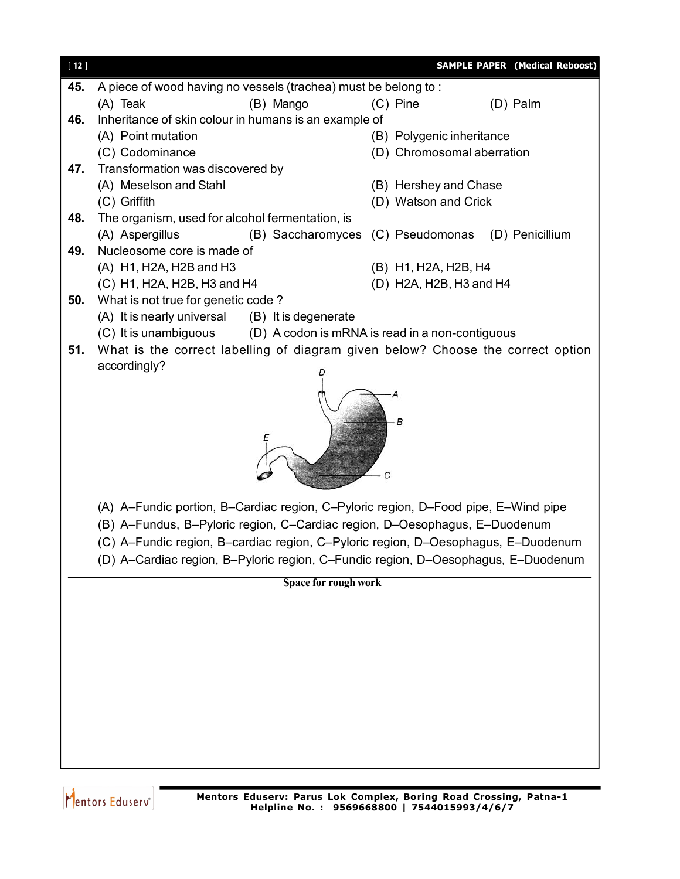| $[12]$ |                                                                                    | <b>SAMPLE PAPER (Medical Reboost)</b>             |  |  |  |  |
|--------|------------------------------------------------------------------------------------|---------------------------------------------------|--|--|--|--|
| 45.    | A piece of wood having no vessels (trachea) must be belong to:                     |                                                   |  |  |  |  |
|        | (A) Teak<br>(B) Mango                                                              | (D) Palm<br>$(C)$ Pine                            |  |  |  |  |
| 46.    | Inheritance of skin colour in humans is an example of                              |                                                   |  |  |  |  |
|        | (A) Point mutation                                                                 | (B) Polygenic inheritance                         |  |  |  |  |
|        | (C) Codominance                                                                    | (D) Chromosomal aberration                        |  |  |  |  |
| 47.    | Transformation was discovered by                                                   |                                                   |  |  |  |  |
|        | (A) Meselson and Stahl<br>(C) Griffith                                             | (B) Hershey and Chase                             |  |  |  |  |
| 48.    | The organism, used for alcohol fermentation, is                                    | (D) Watson and Crick                              |  |  |  |  |
|        | (A) Aspergillus                                                                    | (B) Saccharomyces (C) Pseudomonas (D) Penicillium |  |  |  |  |
| 49.    | Nucleosome core is made of                                                         |                                                   |  |  |  |  |
|        | (A) H1, H2A, H2B and H3                                                            | (B) H1, H2A, H2B, H4                              |  |  |  |  |
|        | (C) H1, H2A, H2B, H3 and H4                                                        | (D) H2A, H2B, H3 and H4                           |  |  |  |  |
| 50.    | What is not true for genetic code?                                                 |                                                   |  |  |  |  |
|        | (A) It is nearly universal (B) It is degenerate                                    |                                                   |  |  |  |  |
|        | (C) It is unambiguous (D) A codon is mRNA is read in a non-contiguous              |                                                   |  |  |  |  |
| 51.    | What is the correct labelling of diagram given below? Choose the correct option    |                                                   |  |  |  |  |
|        | accordingly?                                                                       |                                                   |  |  |  |  |
|        | в<br>С                                                                             |                                                   |  |  |  |  |
|        | (A) A-Fundic portion, B-Cardiac region, C-Pyloric region, D-Food pipe, E-Wind pipe |                                                   |  |  |  |  |
|        | (B) A-Fundus, B-Pyloric region, C-Cardiac region, D-Oesophagus, E-Duodenum         |                                                   |  |  |  |  |
|        | (C) A-Fundic region, B-cardiac region, C-Pyloric region, D-Oesophagus, E-Duodenum  |                                                   |  |  |  |  |
|        | (D) A-Cardiac region, B-Pyloric region, C-Fundic region, D-Oesophagus, E-Duodenum  |                                                   |  |  |  |  |
|        | Space for rough work                                                               |                                                   |  |  |  |  |
|        |                                                                                    |                                                   |  |  |  |  |
|        |                                                                                    |                                                   |  |  |  |  |
|        |                                                                                    |                                                   |  |  |  |  |
|        |                                                                                    |                                                   |  |  |  |  |
|        |                                                                                    |                                                   |  |  |  |  |
|        |                                                                                    |                                                   |  |  |  |  |
|        |                                                                                    |                                                   |  |  |  |  |
|        |                                                                                    |                                                   |  |  |  |  |

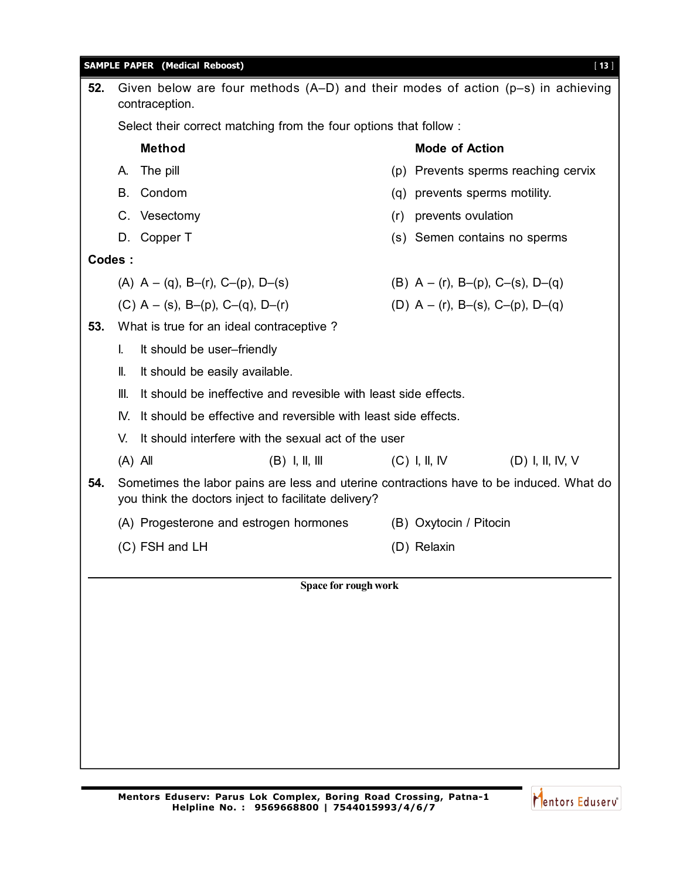|                                                                      | <b>SAMPLE PAPER (Medical Reboost)</b><br>$[13]$                                                       |                                                                                                                                                 |                      |     |                                                |  |  |  |  |
|----------------------------------------------------------------------|-------------------------------------------------------------------------------------------------------|-------------------------------------------------------------------------------------------------------------------------------------------------|----------------------|-----|------------------------------------------------|--|--|--|--|
| 52.                                                                  | Given below are four methods $(A-D)$ and their modes of action $(p-s)$ in achieving<br>contraception. |                                                                                                                                                 |                      |     |                                                |  |  |  |  |
|                                                                      | Select their correct matching from the four options that follow:                                      |                                                                                                                                                 |                      |     |                                                |  |  |  |  |
|                                                                      |                                                                                                       | <b>Method</b>                                                                                                                                   |                      |     | <b>Mode of Action</b>                          |  |  |  |  |
|                                                                      | The pill<br>А.                                                                                        |                                                                                                                                                 |                      |     | (p) Prevents sperms reaching cervix            |  |  |  |  |
|                                                                      | В.                                                                                                    | Condom                                                                                                                                          |                      |     | (q) prevents sperms motility.                  |  |  |  |  |
|                                                                      |                                                                                                       | C. Vesectomy                                                                                                                                    |                      | (r) | prevents ovulation                             |  |  |  |  |
|                                                                      |                                                                                                       | D. Copper T                                                                                                                                     |                      |     | (s) Semen contains no sperms                   |  |  |  |  |
| Codes:                                                               |                                                                                                       |                                                                                                                                                 |                      |     |                                                |  |  |  |  |
|                                                                      |                                                                                                       | (A) $A - (q)$ , B-(r), C-(p), D-(s)                                                                                                             |                      |     | (B) $A - (r)$ , B- $(p)$ , C- $(s)$ , D- $(q)$ |  |  |  |  |
|                                                                      |                                                                                                       | (C) $A - (s)$ , B-(p), C-(q), D-(r)                                                                                                             |                      |     | (D) $A - (r)$ , B-(s), C-(p), D-(q)            |  |  |  |  |
| 53.                                                                  |                                                                                                       | What is true for an ideal contraceptive?                                                                                                        |                      |     |                                                |  |  |  |  |
|                                                                      | L.                                                                                                    | It should be user-friendly                                                                                                                      |                      |     |                                                |  |  |  |  |
|                                                                      | II.                                                                                                   | It should be easily available.                                                                                                                  |                      |     |                                                |  |  |  |  |
|                                                                      | III.                                                                                                  | It should be ineffective and revesible with least side effects.                                                                                 |                      |     |                                                |  |  |  |  |
|                                                                      | IV.                                                                                                   | It should be effective and reversible with least side effects.                                                                                  |                      |     |                                                |  |  |  |  |
|                                                                      | V.                                                                                                    | It should interfere with the sexual act of the user                                                                                             |                      |     |                                                |  |  |  |  |
| $(B)$ I, II, III<br>$(C)$ I, II, IV<br>(D) I, II, IV, V<br>$(A)$ All |                                                                                                       |                                                                                                                                                 |                      |     |                                                |  |  |  |  |
| 54.                                                                  |                                                                                                       | Sometimes the labor pains are less and uterine contractions have to be induced. What do<br>you think the doctors inject to facilitate delivery? |                      |     |                                                |  |  |  |  |
|                                                                      |                                                                                                       | (A) Progesterone and estrogen hormones                                                                                                          |                      |     | (B) Oxytocin / Pitocin                         |  |  |  |  |
|                                                                      |                                                                                                       | (C) FSH and LH                                                                                                                                  |                      |     | (D) Relaxin                                    |  |  |  |  |
|                                                                      |                                                                                                       |                                                                                                                                                 | Space for rough work |     |                                                |  |  |  |  |
|                                                                      |                                                                                                       |                                                                                                                                                 |                      |     |                                                |  |  |  |  |
|                                                                      |                                                                                                       |                                                                                                                                                 |                      |     |                                                |  |  |  |  |
|                                                                      |                                                                                                       |                                                                                                                                                 |                      |     |                                                |  |  |  |  |
|                                                                      |                                                                                                       |                                                                                                                                                 |                      |     |                                                |  |  |  |  |
|                                                                      |                                                                                                       |                                                                                                                                                 |                      |     |                                                |  |  |  |  |
|                                                                      |                                                                                                       |                                                                                                                                                 |                      |     |                                                |  |  |  |  |
|                                                                      |                                                                                                       |                                                                                                                                                 |                      |     |                                                |  |  |  |  |
|                                                                      |                                                                                                       |                                                                                                                                                 |                      |     |                                                |  |  |  |  |
|                                                                      |                                                                                                       |                                                                                                                                                 |                      |     |                                                |  |  |  |  |

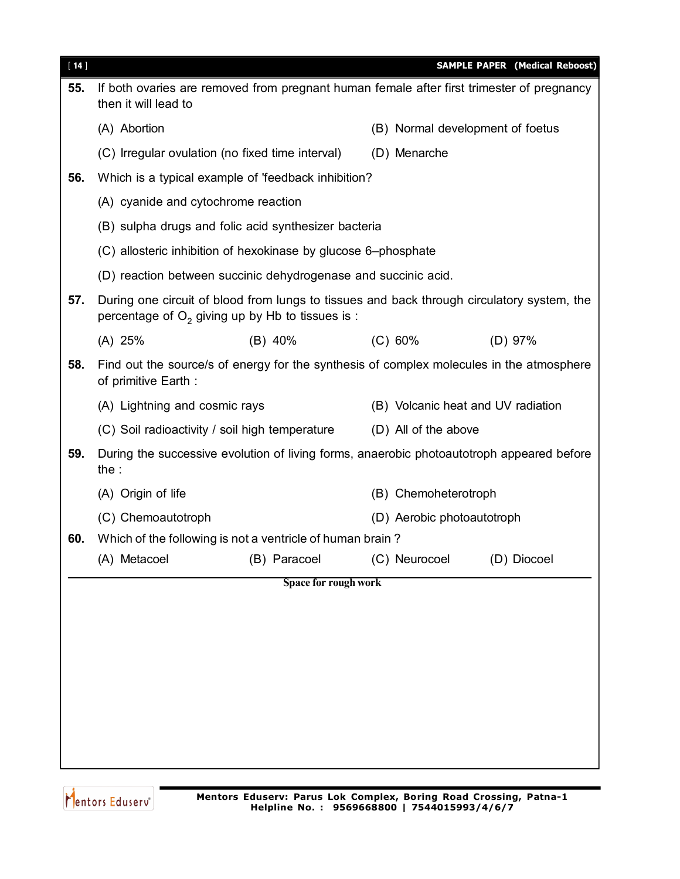| $[14]$ |                                                                                                                                                  |                      |                                                                                          | <b>SAMPLE PAPER (Medical Reboost)</b> |  |  |  |  |
|--------|--------------------------------------------------------------------------------------------------------------------------------------------------|----------------------|------------------------------------------------------------------------------------------|---------------------------------------|--|--|--|--|
| 55.    | If both ovaries are removed from pregnant human female after first trimester of pregnancy<br>then it will lead to                                |                      |                                                                                          |                                       |  |  |  |  |
|        | (A) Abortion                                                                                                                                     |                      | (B) Normal development of foetus                                                         |                                       |  |  |  |  |
|        | (C) Irregular ovulation (no fixed time interval)                                                                                                 |                      | (D) Menarche                                                                             |                                       |  |  |  |  |
| 56.    | Which is a typical example of 'feedback inhibition?                                                                                              |                      |                                                                                          |                                       |  |  |  |  |
|        | (A) cyanide and cytochrome reaction                                                                                                              |                      |                                                                                          |                                       |  |  |  |  |
|        | (B) sulpha drugs and folic acid synthesizer bacteria                                                                                             |                      |                                                                                          |                                       |  |  |  |  |
|        | (C) allosteric inhibition of hexokinase by glucose 6-phosphate                                                                                   |                      |                                                                                          |                                       |  |  |  |  |
|        | (D) reaction between succinic dehydrogenase and succinic acid.                                                                                   |                      |                                                                                          |                                       |  |  |  |  |
| 57.    | During one circuit of blood from lungs to tissues and back through circulatory system, the<br>percentage of $O2$ giving up by Hb to tissues is : |                      |                                                                                          |                                       |  |  |  |  |
|        | $(A)$ 25%                                                                                                                                        | (B) 40%              | (C) 60%                                                                                  | $(D)$ 97%                             |  |  |  |  |
| 58.    | of primitive Earth :                                                                                                                             |                      | Find out the source/s of energy for the synthesis of complex molecules in the atmosphere |                                       |  |  |  |  |
|        | (A) Lightning and cosmic rays                                                                                                                    |                      | (B) Volcanic heat and UV radiation                                                       |                                       |  |  |  |  |
|        | (C) Soil radioactivity / soil high temperature                                                                                                   |                      | (D) All of the above                                                                     |                                       |  |  |  |  |
| 59.    | During the successive evolution of living forms, anaerobic photoautotroph appeared before<br>the :                                               |                      |                                                                                          |                                       |  |  |  |  |
|        | (A) Origin of life                                                                                                                               |                      | (B) Chemoheterotroph                                                                     |                                       |  |  |  |  |
|        | (C) Chemoautotroph                                                                                                                               |                      | (D) Aerobic photoautotroph                                                               |                                       |  |  |  |  |
| 60.    | Which of the following is not a ventricle of human brain?                                                                                        |                      |                                                                                          |                                       |  |  |  |  |
|        | (A) Metacoel                                                                                                                                     | (B) Paracoel         | (C) Neurocoel                                                                            | (D) Diocoel                           |  |  |  |  |
|        |                                                                                                                                                  | Space for rough work |                                                                                          |                                       |  |  |  |  |
|        |                                                                                                                                                  |                      |                                                                                          |                                       |  |  |  |  |
|        |                                                                                                                                                  |                      |                                                                                          |                                       |  |  |  |  |
|        |                                                                                                                                                  |                      |                                                                                          |                                       |  |  |  |  |
|        |                                                                                                                                                  |                      |                                                                                          |                                       |  |  |  |  |
|        |                                                                                                                                                  |                      |                                                                                          |                                       |  |  |  |  |
|        |                                                                                                                                                  |                      |                                                                                          |                                       |  |  |  |  |
|        |                                                                                                                                                  |                      |                                                                                          |                                       |  |  |  |  |
|        |                                                                                                                                                  |                      |                                                                                          |                                       |  |  |  |  |